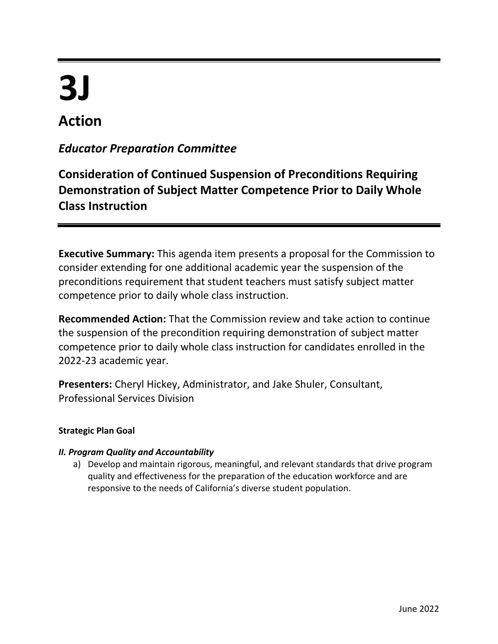# **3J**

# **Action**

### *Educator Preparation Committee*

## **Consideration of Continued Suspension of Preconditions Requiring Demonstration of Subject Matter Competence Prior to Daily Whole Class Instruction**

**Executive Summary:** This agenda item presents a proposal for the Commission to consider extending for one additional academic year the suspension of the preconditions requirement that student teachers must satisfy subject matter competence prior to daily whole class instruction.

**Recommended Action:** That the Commission review and take action to continue the suspension of the precondition requiring demonstration of subject matter competence prior to daily whole class instruction for candidates enrolled in the 2022-23 academic year.

**Presenters:** Cheryl Hickey, Administrator, and Jake Shuler, Consultant, Professional Services Division

#### **Strategic Plan Goal**

#### *II. Program Quality and Accountability*

a) Develop and maintain rigorous, meaningful, and relevant standards that drive program quality and effectiveness for the preparation of the education workforce and are responsive to the needs of California's diverse student population.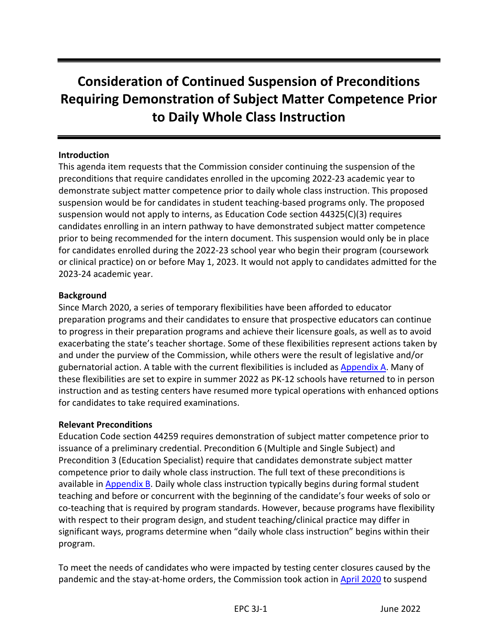# **Consideration of Continued Suspension of Preconditions Requiring Demonstration of Subject Matter Competence Prior to Daily Whole Class Instruction**

#### **Introduction**

This agenda item requests that the Commission consider continuing the suspension of the preconditions that require candidates enrolled in the upcoming 2022-23 academic year to demonstrate subject matter competence prior to daily whole class instruction. This proposed suspension would be for candidates in student teaching-based programs only. The proposed suspension would not apply to interns, as Education Code section 44325(C)(3) requires candidates enrolling in an intern pathway to have demonstrated subject matter competence prior to being recommended for the intern document. This suspension would only be in place for candidates enrolled during the 2022-23 school year who begin their program (coursework or clinical practice) on or before May 1, 2023. It would not apply to candidates admitted for the 2023-24 academic year.

#### **Background**

Since March 2020, a series of temporary flexibilities have been afforded to educator preparation programs and their candidates to ensure that prospective educators can continue to progress in their preparation programs and achieve their licensure goals, as well as to avoid exacerbating the state's teacher shortage. Some of these flexibilities represent actions taken by and under the purview of the Commission, while others were the result of legislative and/or gubernatorial action. A table with the current flexibilities is included as [Appendix](#page-5-0) A. Many of these flexibilities are set to expire in summer 2022 as PK-12 schools have returned to in person instruction and as testing centers have resumed more typical operations with enhanced options for candidates to take required examinations.

#### **Relevant Preconditions**

Education Code section 44259 requires demonstration of subject matter competence prior to issuance of a preliminary credential. Precondition 6 (Multiple and Single Subject) and Precondition 3 (Education Specialist) require that candidates demonstrate subject matter competence prior to daily whole class instruction. The full text of these preconditions is available i[n Appendix B.](#page-9-0) Daily whole class instruction typically begins during formal student teaching and before or concurrent with the beginning of the candidate's four weeks of solo or co-teaching that is required by program standards. However, because programs have flexibility with respect to their program design, and student teaching/clinical practice may differ in significant ways, programs determine when "daily whole class instruction" begins within their program.

To meet the needs of candidates who were impacted by testing center closures caused by the pandemic and the stay-at-home orders, the Commission took action in [April 2020](https://www.ctc.ca.gov/docs/default-source/commission/agendas/2020-04/2020-04-4a.pdf?sfvrsn=9a2e2cb1_6) to suspend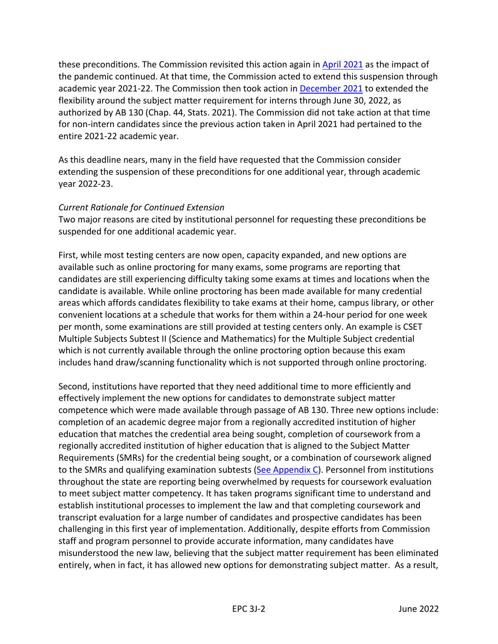these preconditions. The Commission revisited this action again in [April 2021](https://www.ctc.ca.gov/docs/default-source/commission/agendas/2021-04/2021-04-4h.pdf?sfvrsn=fc352bb1_4) as the impact of the pandemic continued. At that time, the Commission acted to extend this suspension through academic year 2021-22. The Commission then took action in [December 2021](https://www.ctc.ca.gov/docs/default-source/commission/agendas/2021-12/2021-12-2e.pdf?sfvrsn=601925b1_4) to extended the flexibility around the subject matter requirement for interns through June 30, 2022, as authorized by AB 130 (Chap. 44, Stats. 2021). The Commission did not take action at that time for non-intern candidates since the previous action taken in April 2021 had pertained to the entire 2021-22 academic year.

As this deadline nears, many in the field have requested that the Commission consider extending the suspension of these preconditions for one additional year, through academic year 2022-23.

#### *Current Rationale for Continued Extension*

Two major reasons are cited by institutional personnel for requesting these preconditions be suspended for one additional academic year.

First, while most testing centers are now open, capacity expanded, and new options are available such as online proctoring for many exams, some programs are reporting that candidates are still experiencing difficulty taking some exams at times and locations when the candidate is available. While online proctoring has been made available for many credential areas which affords candidates flexibility to take exams at their home, campus library, or other convenient locations at a schedule that works for them within a 24-hour period for one week per month, some examinations are still provided at testing centers only. An example is CSET Multiple Subjects Subtest II (Science and Mathematics) for the Multiple Subject credential which is not currently available through the online proctoring option because this exam includes hand draw/scanning functionality which is not supported through online proctoring.

Second, institutions have reported that they need additional time to more efficiently and effectively implement the new options for candidates to demonstrate subject matter competence which were made available through passage of AB 130. Three new options include: completion of an academic degree major from a regionally accredited institution of higher education that matches the credential area being sought, completion of coursework from a regionally accredited institution of higher education that is aligned to the Subject Matter Requirements (SMRs) for the credential being sought, or a combination of coursework aligned to the SMRs and qualifying examination subtests [\(See Appendix C\)](#page-10-0). Personnel from institutions throughout the state are reporting being overwhelmed by requests for coursework evaluation to meet subject matter competency. It has taken programs significant time to understand and establish institutional processes to implement the law and that completing coursework and transcript evaluation for a large number of candidates and prospective candidates has been challenging in this first year of implementation. Additionally, despite efforts from Commission staff and program personnel to provide accurate information, many candidates have misunderstood the new law, believing that the subject matter requirement has been eliminated entirely, when in fact, it has allowed new options for demonstrating subject matter. As a result,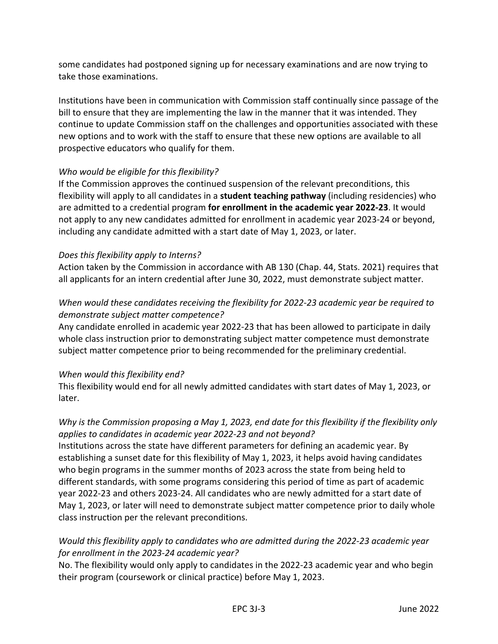some candidates had postponed signing up for necessary examinations and are now trying to take those examinations.

Institutions have been in communication with Commission staff continually since passage of the bill to ensure that they are implementing the law in the manner that it was intended. They continue to update Commission staff on the challenges and opportunities associated with these new options and to work with the staff to ensure that these new options are available to all prospective educators who qualify for them.

#### *Who would be eligible for this flexibility?*

If the Commission approves the continued suspension of the relevant preconditions, this flexibility will apply to all candidates in a **student teaching pathway** (including residencies) who are admitted to a credential program **for enrollment in the academic year 2022-23**. It would not apply to any new candidates admitted for enrollment in academic year 2023-24 or beyond, including any candidate admitted with a start date of May 1, 2023, or later.

#### *Does this flexibility apply to Interns?*

Action taken by the Commission in accordance with AB 130 (Chap. 44, Stats. 2021) requires that all applicants for an intern credential after June 30, 2022, must demonstrate subject matter.

#### *When would these candidates receiving the flexibility for 2022-23 academic year be required to demonstrate subject matter competence?*

Any candidate enrolled in academic year 2022-23 that has been allowed to participate in daily whole class instruction prior to demonstrating subject matter competence must demonstrate subject matter competence prior to being recommended for the preliminary credential.

#### *When would this flexibility end?*

This flexibility would end for all newly admitted candidates with start dates of May 1, 2023, or later.

#### *Why is the Commission proposing a May 1, 2023, end date for this flexibility if the flexibility only applies to candidates in academic year 2022-23 and not beyond?*

Institutions across the state have different parameters for defining an academic year. By establishing a sunset date for this flexibility of May 1, 2023, it helps avoid having candidates who begin programs in the summer months of 2023 across the state from being held to different standards, with some programs considering this period of time as part of academic year 2022-23 and others 2023-24. All candidates who are newly admitted for a start date of May 1, 2023, or later will need to demonstrate subject matter competence prior to daily whole class instruction per the relevant preconditions.

#### *Would this flexibility apply to candidates who are admitted during the 2022-23 academic year for enrollment in the 2023-24 academic year?*

No. The flexibility would only apply to candidates in the 2022-23 academic year and who begin their program (coursework or clinical practice) before May 1, 2023.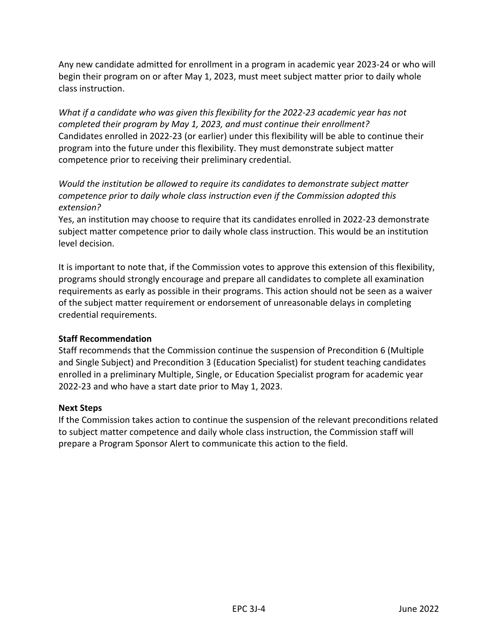Any new candidate admitted for enrollment in a program in academic year 2023-24 or who will begin their program on or after May 1, 2023, must meet subject matter prior to daily whole class instruction.

*What if a candidate who was given this flexibility for the 2022-23 academic year has not completed their program by May 1, 2023, and must continue their enrollment?*  Candidates enrolled in 2022-23 (or earlier) under this flexibility will be able to continue their program into the future under this flexibility. They must demonstrate subject matter competence prior to receiving their preliminary credential.

*Would the institution be allowed to require its candidates to demonstrate subject matter competence prior to daily whole class instruction even if the Commission adopted this extension?*

Yes, an institution may choose to require that its candidates enrolled in 2022-23 demonstrate subject matter competence prior to daily whole class instruction. This would be an institution level decision.

It is important to note that, if the Commission votes to approve this extension of this flexibility, programs should strongly encourage and prepare all candidates to complete all examination requirements as early as possible in their programs. This action should not be seen as a waiver of the subject matter requirement or endorsement of unreasonable delays in completing credential requirements.

#### **Staff Recommendation**

Staff recommends that the Commission continue the suspension of Precondition 6 (Multiple and Single Subject) and Precondition 3 (Education Specialist) for student teaching candidates enrolled in a preliminary Multiple, Single, or Education Specialist program for academic year 2022-23 and who have a start date prior to May 1, 2023.

#### **Next Steps**

If the Commission takes action to continue the suspension of the relevant preconditions related to subject matter competence and daily whole class instruction, the Commission staff will prepare a Program Sponsor Alert to communicate this action to the field.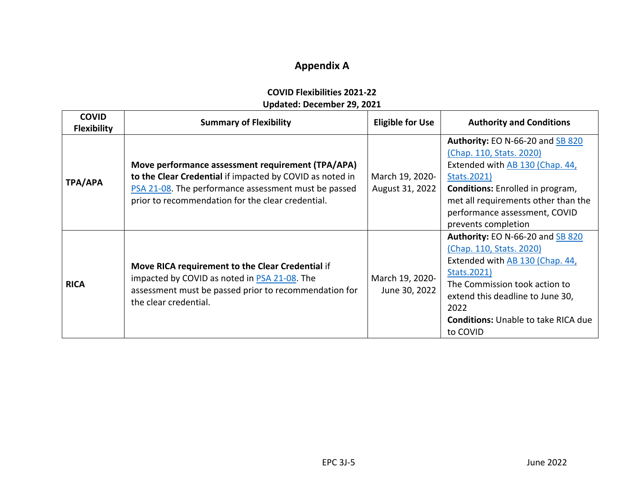## **Appendix A**

| <b>COVID Flexibilities 2021-22</b> |
|------------------------------------|
| Updated: December 29, 2021         |

<span id="page-5-0"></span>

| <b>COVID</b><br><b>Flexibility</b> | <b>Summary of Flexibility</b>                                                                                                                                                                                              | <b>Eligible for Use</b>            | <b>Authority and Conditions</b>                                                                                                                                                                                                                                  |
|------------------------------------|----------------------------------------------------------------------------------------------------------------------------------------------------------------------------------------------------------------------------|------------------------------------|------------------------------------------------------------------------------------------------------------------------------------------------------------------------------------------------------------------------------------------------------------------|
| <b>TPA/APA</b>                     | Move performance assessment requirement (TPA/APA)<br>to the Clear Credential if impacted by COVID as noted in<br>PSA 21-08. The performance assessment must be passed<br>prior to recommendation for the clear credential. | March 19, 2020-<br>August 31, 2022 | <b>Authority: EO N-66-20 and SB 820</b><br>(Chap. 110, Stats. 2020)<br>Extended with AB 130 (Chap. 44,<br>Stats. 2021)<br><b>Conditions:</b> Enrolled in program,<br>met all requirements other than the<br>performance assessment, COVID<br>prevents completion |
| <b>RICA</b>                        | Move RICA requirement to the Clear Credential if<br>impacted by COVID as noted in PSA 21-08. The<br>assessment must be passed prior to recommendation for<br>the clear credential.                                         | March 19, 2020-<br>June 30, 2022   | Authority: EO N-66-20 and SB 820<br>(Chap. 110, Stats. 2020)<br>Extended with AB 130 (Chap. 44,<br>Stats.2021)<br>The Commission took action to<br>extend this deadline to June 30,<br>2022<br><b>Conditions:</b> Unable to take RICA due<br>to COVID            |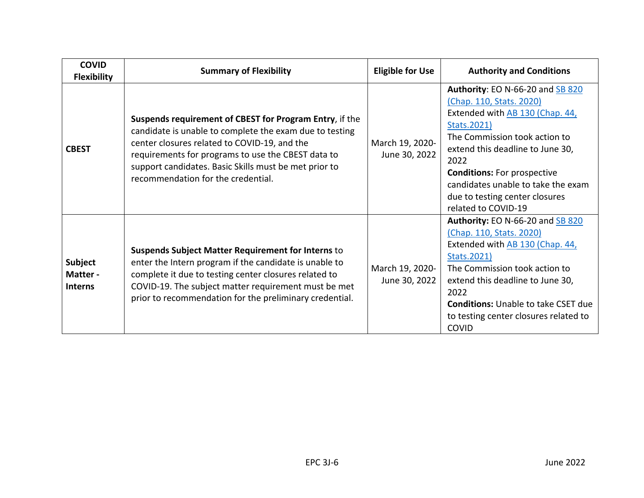| <b>COVID</b><br><b>Flexibility</b>          | <b>Summary of Flexibility</b>                                                                                                                                                                                                                                                                                           | <b>Eligible for Use</b>          | <b>Authority and Conditions</b>                                                                                                                                                                                                                                                                                                  |
|---------------------------------------------|-------------------------------------------------------------------------------------------------------------------------------------------------------------------------------------------------------------------------------------------------------------------------------------------------------------------------|----------------------------------|----------------------------------------------------------------------------------------------------------------------------------------------------------------------------------------------------------------------------------------------------------------------------------------------------------------------------------|
| <b>CBEST</b>                                | Suspends requirement of CBEST for Program Entry, if the<br>candidate is unable to complete the exam due to testing<br>center closures related to COVID-19, and the<br>requirements for programs to use the CBEST data to<br>support candidates. Basic Skills must be met prior to<br>recommendation for the credential. | March 19, 2020-<br>June 30, 2022 | Authority: EO N-66-20 and SB 820<br>(Chap. 110, Stats. 2020)<br>Extended with AB 130 (Chap. 44,<br>Stats.2021)<br>The Commission took action to<br>extend this deadline to June 30,<br>2022<br><b>Conditions:</b> For prospective<br>candidates unable to take the exam<br>due to testing center closures<br>related to COVID-19 |
| <b>Subject</b><br>Matter-<br><b>Interns</b> | <b>Suspends Subject Matter Requirement for Interns to</b><br>enter the Intern program if the candidate is unable to<br>complete it due to testing center closures related to<br>COVID-19. The subject matter requirement must be met<br>prior to recommendation for the preliminary credential.                         | March 19, 2020-<br>June 30, 2022 | Authority: EO N-66-20 and SB 820<br>(Chap. 110, Stats. 2020)<br>Extended with AB 130 (Chap. 44,<br>Stats.2021)<br>The Commission took action to<br>extend this deadline to June 30,<br>2022<br><b>Conditions: Unable to take CSET due</b><br>to testing center closures related to<br><b>COVID</b>                               |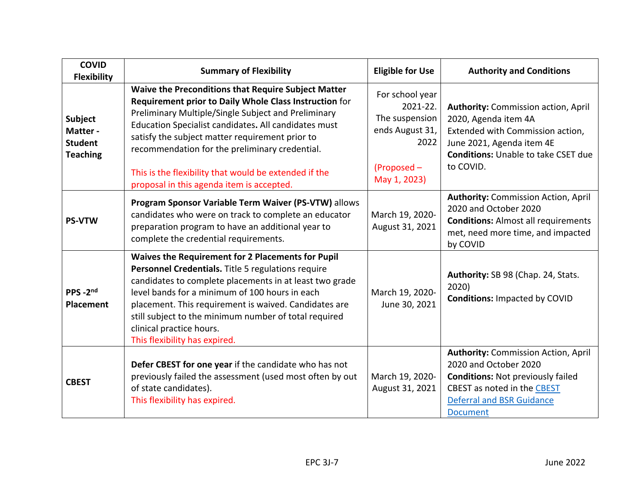| <b>COVID</b><br><b>Flexibility</b>                             | <b>Summary of Flexibility</b>                                                                                                                                                                                                                                                                                                                                                                                                           | <b>Eligible for Use</b>                                                                                 | <b>Authority and Conditions</b>                                                                                                                                                                       |
|----------------------------------------------------------------|-----------------------------------------------------------------------------------------------------------------------------------------------------------------------------------------------------------------------------------------------------------------------------------------------------------------------------------------------------------------------------------------------------------------------------------------|---------------------------------------------------------------------------------------------------------|-------------------------------------------------------------------------------------------------------------------------------------------------------------------------------------------------------|
| <b>Subject</b><br>Matter-<br><b>Student</b><br><b>Teaching</b> | Waive the Preconditions that Require Subject Matter<br>Requirement prior to Daily Whole Class Instruction for<br>Preliminary Multiple/Single Subject and Preliminary<br>Education Specialist candidates. All candidates must<br>satisfy the subject matter requirement prior to<br>recommendation for the preliminary credential.<br>This is the flexibility that would be extended if the<br>proposal in this agenda item is accepted. | For school year<br>2021-22.<br>The suspension<br>ends August 31,<br>2022<br>(Proposed -<br>May 1, 2023) | <b>Authority: Commission action, April</b><br>2020, Agenda item 4A<br>Extended with Commission action,<br>June 2021, Agenda item 4E<br><b>Conditions: Unable to take CSET due</b><br>to COVID.        |
| <b>PS-VTW</b>                                                  | Program Sponsor Variable Term Waiver (PS-VTW) allows<br>candidates who were on track to complete an educator<br>preparation program to have an additional year to<br>complete the credential requirements.                                                                                                                                                                                                                              | March 19, 2020-<br>August 31, 2021                                                                      | <b>Authority: Commission Action, April</b><br>2020 and October 2020<br><b>Conditions: Almost all requirements</b><br>met, need more time, and impacted<br>by COVID                                    |
| PPS-2nd<br><b>Placement</b>                                    | Waives the Requirement for 2 Placements for Pupil<br>Personnel Credentials. Title 5 regulations require<br>candidates to complete placements in at least two grade<br>level bands for a minimum of 100 hours in each<br>placement. This requirement is waived. Candidates are<br>still subject to the minimum number of total required<br>clinical practice hours.<br>This flexibility has expired.                                     | March 19, 2020-<br>June 30, 2021                                                                        | Authority: SB 98 (Chap. 24, Stats.<br>2020)<br><b>Conditions: Impacted by COVID</b>                                                                                                                   |
| <b>CBEST</b>                                                   | Defer CBEST for one year if the candidate who has not<br>previously failed the assessment (used most often by out<br>of state candidates).<br>This flexibility has expired.                                                                                                                                                                                                                                                             | March 19, 2020-<br>August 31, 2021                                                                      | <b>Authority: Commission Action, April</b><br>2020 and October 2020<br><b>Conditions: Not previously failed</b><br>CBEST as noted in the CBEST<br><b>Deferral and BSR Guidance</b><br><b>Document</b> |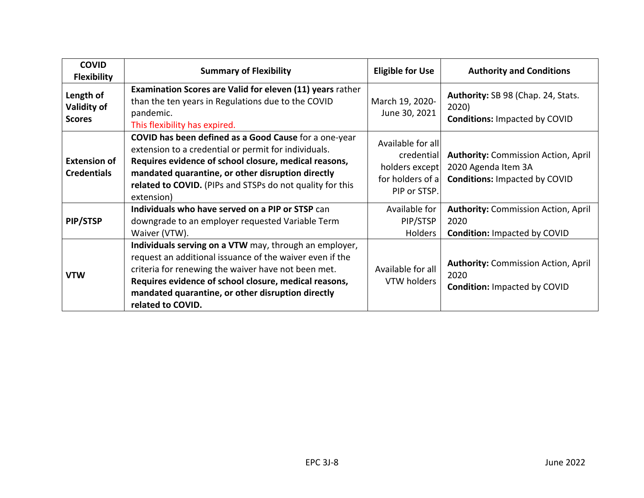| <b>COVID</b><br><b>Flexibility</b>        | <b>Summary of Flexibility</b>                                                                                                                                                                                                                                                                                | <b>Eligible for Use</b>                                                               | <b>Authority and Conditions</b>                                                                           |
|-------------------------------------------|--------------------------------------------------------------------------------------------------------------------------------------------------------------------------------------------------------------------------------------------------------------------------------------------------------------|---------------------------------------------------------------------------------------|-----------------------------------------------------------------------------------------------------------|
| Length of<br>Validity of<br><b>Scores</b> | <b>Examination Scores are Valid for eleven (11) years rather</b><br>than the ten years in Regulations due to the COVID<br>pandemic.<br>This flexibility has expired.                                                                                                                                         | March 19, 2020-<br>June 30, 2021                                                      | Authority: SB 98 (Chap. 24, Stats.<br>2020)<br><b>Conditions: Impacted by COVID</b>                       |
| <b>Extension of</b><br><b>Credentials</b> | COVID has been defined as a Good Cause for a one-year<br>extension to a credential or permit for individuals.<br>Requires evidence of school closure, medical reasons,<br>mandated quarantine, or other disruption directly<br>related to COVID. (PIPs and STSPs do not quality for this<br>extension)       | Available for all<br>credential<br>holders except<br>for holders of a<br>PIP or STSP. | <b>Authority: Commission Action, April</b><br>2020 Agenda Item 3A<br><b>Conditions: Impacted by COVID</b> |
| PIP/STSP                                  | Individuals who have served on a PIP or STSP can<br>downgrade to an employer requested Variable Term<br>Waiver (VTW).                                                                                                                                                                                        | Available for<br>PIP/STSP<br><b>Holders</b>                                           | <b>Authority: Commission Action, April</b><br>2020<br><b>Condition: Impacted by COVID</b>                 |
| <b>VTW</b>                                | Individuals serving on a VTW may, through an employer,<br>request an additional issuance of the waiver even if the<br>criteria for renewing the waiver have not been met.<br>Requires evidence of school closure, medical reasons,<br>mandated quarantine, or other disruption directly<br>related to COVID. | Available for all<br>VTW holders                                                      | <b>Authority: Commission Action, April</b><br>2020<br><b>Condition: Impacted by COVID</b>                 |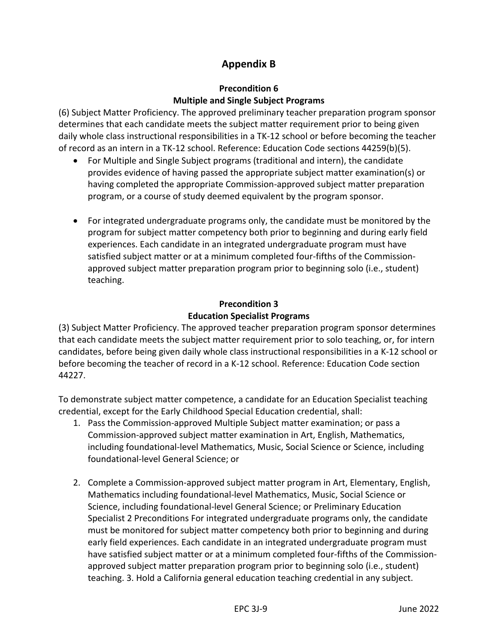#### **Appendix B**

#### **Precondition 6 Multiple and Single Subject Programs**

<span id="page-9-0"></span>(6) Subject Matter Proficiency. The approved preliminary teacher preparation program sponsor determines that each candidate meets the subject matter requirement prior to being given daily whole class instructional responsibilities in a TK-12 school or before becoming the teacher of record as an intern in a TK-12 school. Reference: Education Code sections 44259(b)(5).

- For Multiple and Single Subject programs (traditional and intern), the candidate provides evidence of having passed the appropriate subject matter examination(s) or having completed the appropriate Commission-approved subject matter preparation program, or a course of study deemed equivalent by the program sponsor.
- For integrated undergraduate programs only, the candidate must be monitored by the program for subject matter competency both prior to beginning and during early field experiences. Each candidate in an integrated undergraduate program must have satisfied subject matter or at a minimum completed four-fifths of the Commissionapproved subject matter preparation program prior to beginning solo (i.e., student) teaching.

#### **Precondition 3 Education Specialist Programs**

(3) Subject Matter Proficiency. The approved teacher preparation program sponsor determines that each candidate meets the subject matter requirement prior to solo teaching, or, for intern candidates, before being given daily whole class instructional responsibilities in a K-12 school or before becoming the teacher of record in a K-12 school. Reference: Education Code section 44227.

To demonstrate subject matter competence, a candidate for an Education Specialist teaching credential, except for the Early Childhood Special Education credential, shall:

- 1. Pass the Commission-approved Multiple Subject matter examination; or pass a Commission-approved subject matter examination in Art, English, Mathematics, including foundational-level Mathematics, Music, Social Science or Science, including foundational-level General Science; or
- 2. Complete a Commission-approved subject matter program in Art, Elementary, English, Mathematics including foundational-level Mathematics, Music, Social Science or Science, including foundational-level General Science; or Preliminary Education Specialist 2 Preconditions For integrated undergraduate programs only, the candidate must be monitored for subject matter competency both prior to beginning and during early field experiences. Each candidate in an integrated undergraduate program must have satisfied subject matter or at a minimum completed four-fifths of the Commissionapproved subject matter preparation program prior to beginning solo (i.e., student) teaching. 3. Hold a California general education teaching credential in any subject.